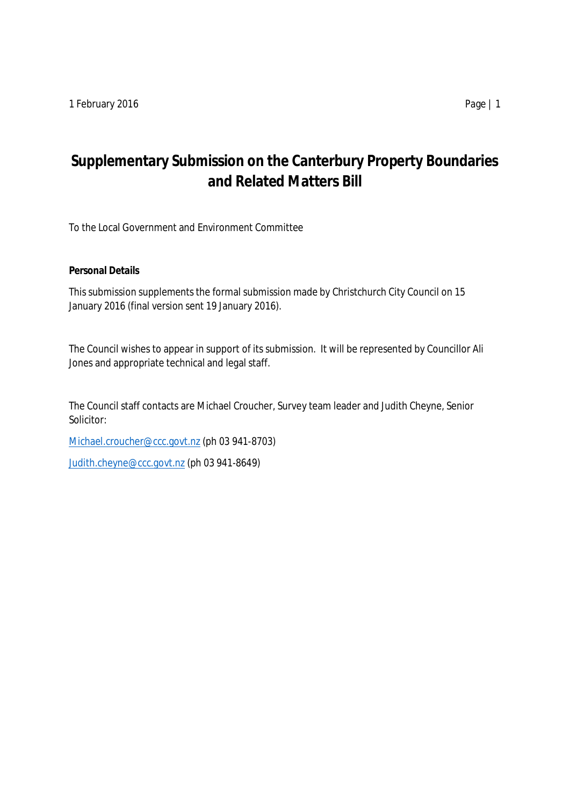# **Supplementary Submission on the Canterbury Property Boundaries and Related Matters Bill**

To the Local Government and Environment Committee

**Personal Details**

This submission supplements the formal submission made by Christchurch City Council on 15 January 2016 (final version sent 19 January 2016).

The Council wishes to appear in support of its submission. It will be represented by Councillor Ali Jones and appropriate technical and legal staff.

The Council staff contacts are Michael Croucher, Survey team leader and Judith Cheyne, Senior Solicitor:

[Michael.croucher@ccc.govt.nz](mailto:Michael.croucher@ccc.govt.nz) (ph 03 941-8703)

[Judith.cheyne@ccc.govt.nz](mailto:Judith.cheyne@ccc.govt.nz) (ph 03 941-8649)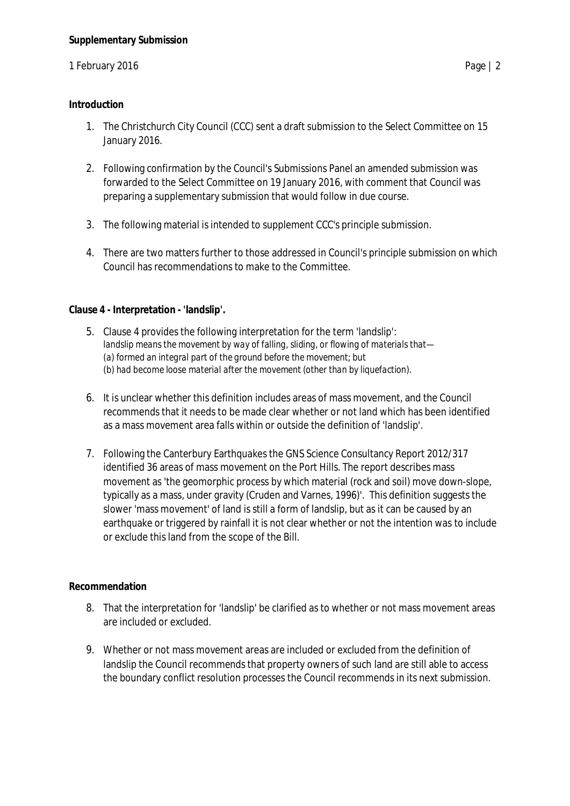## 1 February 2016 **Page | 2**

### **Introduction**

- 1. The Christchurch City Council (CCC) sent a draft submission to the Select Committee on 15 January 2016.
- 2. Following confirmation by the Council's Submissions Panel an amended submission was forwarded to the Select Committee on 19 January 2016, with comment that Council was preparing a supplementary submission that would follow in due course.
- 3. The following material is intended to supplement CCC's principle submission.
- 4. There are two matters further to those addressed in Council's principle submission on which Council has recommendations to make to the Committee.

**Clause 4 - Interpretation - 'landslip'.**

- 5. Clause 4 provides the following interpretation for the term 'landslip': *landslip means the movement by way of falling, sliding, or flowing of materials that— (a) formed an integral part of the ground before the movement; but (b) had become loose material after the movement (other than by liquefaction).*
- 6. It is unclear whether this definition includes areas of mass movement, and the Council recommends that it needs to be made clear whether or not land which has been identified as a mass movement area falls within or outside the definition of 'landslip'.
- 7. Following the Canterbury Earthquakes the GNS Science Consultancy Report 2012/317 identified 36 areas of mass movement on the Port Hills. The report describes mass movement as 'the geomorphic process by which material (rock and soil) move down-slope, typically as a mass, under gravity (Cruden and Varnes, 1996)'. This definition suggests the slower 'mass movement' of land is still a form of landslip, but as it can be caused by an earthquake or triggered by rainfall it is not clear whether or not the intention was to include or exclude this land from the scope of the Bill.

### **Recommendation**

- 8. That the interpretation for 'landslip' be clarified as to whether or not mass movement areas are included or excluded.
- 9. Whether or not mass movement areas are included or excluded from the definition of landslip the Council recommends that property owners of such land are still able to access the boundary conflict resolution processes the Council recommends in its next submission.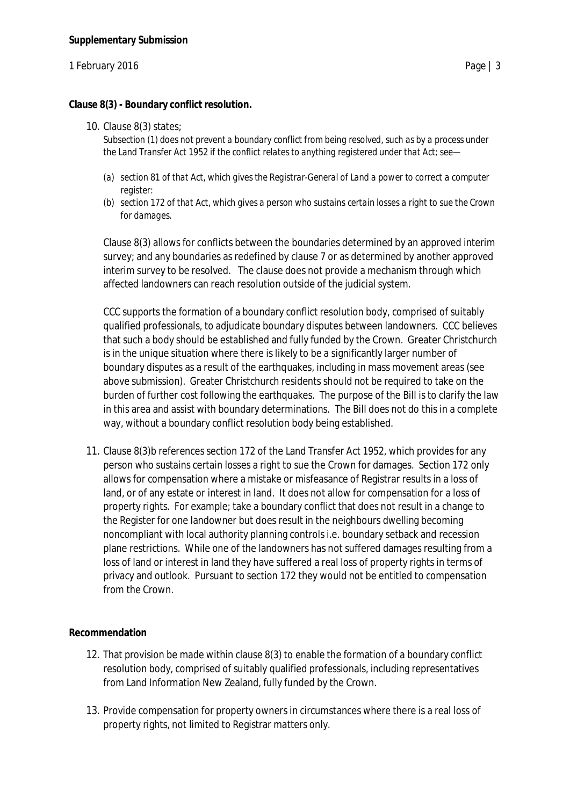### 1 February 2016 **Page | 3**

**Clause 8(3) - Boundary conflict resolution.**

10. Clause 8(3) states;

*Subsection (1) does not prevent a boundary conflict from being resolved, such as by a process under the Land Transfer Act 1952 if the conflict relates to anything registered under that Act; see—*

- *(a) section 81 of that Act, which gives the Registrar-General of Land a power to correct a computer register:*
- *(b) section 172 of that Act, which gives a person who sustains certain losses a right to sue the Crown for damages.*

Clause 8(3) allows for conflicts between the boundaries determined by an approved interim survey; and any boundaries as redefined by clause 7 or as determined by another approved interim survey to be resolved. The clause does not provide a mechanism through which affected landowners can reach resolution outside of the judicial system.

CCC supports the formation of a boundary conflict resolution body, comprised of suitably qualified professionals, to adjudicate boundary disputes between landowners. CCC believes that such a body should be established and fully funded by the Crown. Greater Christchurch is in the unique situation where there is likely to be a significantly larger number of boundary disputes as a result of the earthquakes, including in mass movement areas (see above submission). Greater Christchurch residents should not be required to take on the burden of further cost following the earthquakes. The purpose of the Bill is to clarify the law in this area and assist with boundary determinations. The Bill does not do this in a complete way, without a boundary conflict resolution body being established.

11. Clause 8(3)b references section 172 of the Land Transfer Act 1952, which provides for any person who sustains certain losses a right to sue the Crown for damages. Section 172 only allows for compensation where a mistake or misfeasance of Registrar results in a loss of land, or of any estate or interest in land. It does not allow for compensation for a loss of property rights. For example; take a boundary conflict that does not result in a change to the Register for one landowner but does result in the neighbours dwelling becoming noncompliant with local authority planning controls i.e. boundary setback and recession plane restrictions. While one of the landowners has not suffered damages resulting from a loss of land or interest in land they have suffered a real loss of property rights in terms of privacy and outlook. Pursuant to section 172 they would not be entitled to compensation from the Crown.

### **Recommendation**

- 12. That provision be made within clause 8(3) to enable the formation of a boundary conflict resolution body, comprised of suitably qualified professionals, including representatives from Land Information New Zealand, fully funded by the Crown.
- 13. Provide compensation for property owners in circumstances where there is a real loss of property rights, not limited to Registrar matters only.